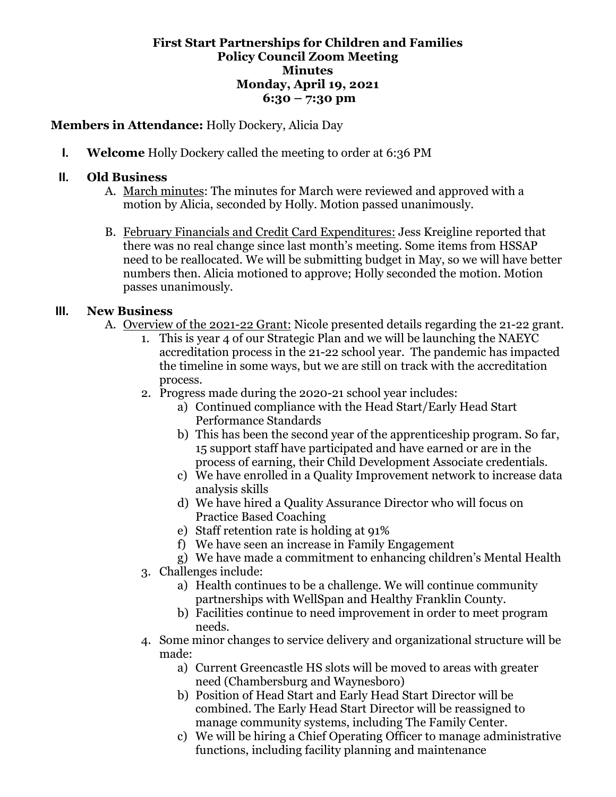## **First Start Partnerships for Children and Families Policy Council Zoom Meeting Minutes Monday, April 19, 2021 6:30 – 7:30 pm**

## **Members in Attendance:** Holly Dockery, Alicia Day

**I. Welcome** Holly Dockery called the meeting to order at 6:36 PM

## **II. Old Business**

- A. March minutes: The minutes for March were reviewed and approved with a motion by Alicia, seconded by Holly. Motion passed unanimously.
- B. February Financials and Credit Card Expenditures: Jess Kreigline reported that there was no real change since last month's meeting. Some items from HSSAP need to be reallocated. We will be submitting budget in May, so we will have better numbers then. Alicia motioned to approve; Holly seconded the motion. Motion passes unanimously.

## **III. New Business**

- A. Overview of the 2021-22 Grant: Nicole presented details regarding the 21-22 grant.
	- 1. This is year 4 of our Strategic Plan and we will be launching the NAEYC accreditation process in the 21-22 school year. The pandemic has impacted the timeline in some ways, but we are still on track with the accreditation process.
	- 2. Progress made during the 2020-21 school year includes:
		- a) Continued compliance with the Head Start/Early Head Start Performance Standards
		- b) This has been the second year of the apprenticeship program. So far, 15 support staff have participated and have earned or are in the process of earning, their Child Development Associate credentials.
		- c) We have enrolled in a Quality Improvement network to increase data analysis skills
		- d) We have hired a Quality Assurance Director who will focus on Practice Based Coaching
		- e) Staff retention rate is holding at 91%
		- f) We have seen an increase in Family Engagement
		- g) We have made a commitment to enhancing children's Mental Health
	- 3. Challenges include:
		- a) Health continues to be a challenge. We will continue community partnerships with WellSpan and Healthy Franklin County.
		- b) Facilities continue to need improvement in order to meet program needs.
	- 4. Some minor changes to service delivery and organizational structure will be made:
		- a) Current Greencastle HS slots will be moved to areas with greater need (Chambersburg and Waynesboro)
		- b) Position of Head Start and Early Head Start Director will be combined. The Early Head Start Director will be reassigned to manage community systems, including The Family Center.
		- c) We will be hiring a Chief Operating Officer to manage administrative functions, including facility planning and maintenance